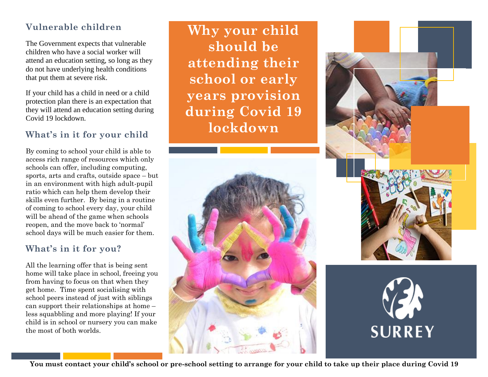# **Vulnerable children**

The Government expects that vulnerable children who have a social worker will attend an education setting, so long as they do not have underlying health conditions that put them at severe risk.

If your child has a child in need or a child protection plan there is an expectation that they will attend an education setting during Covid 19 lockdown.

# **What's in it for your child**

By coming to school your child is able to access rich range of resources which only schools can offer, including computing, sports, arts and crafts, outside space – but in an environment with high adult-pupil ratio which can help them develop their skills even further. By being in a routine of coming to school every day, your child will be ahead of the game when schools reopen, and the move back to 'normal' school days will be much easier for them.

### **What's in it for you?**

All the learning offer that is being sent home will take place in school, freeing you from having to focus on that when they get home. Time spent socialising with school peers instead of just with siblings can support their relationships at home – less squabbling and more playing! If your child is in school or nursery you can make the most of both worlds.

**Why your child should be attending their school or early years provision during Covid 19 lockdown**







**You must contact your child's school or pre-school setting to arrange for your child to take up their place during Covid 19**